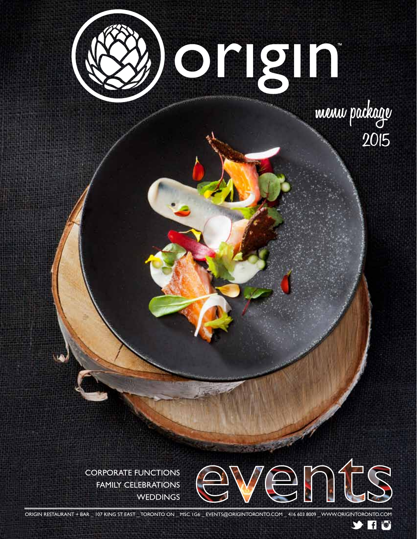

**menu package 2015**

CORPORATE FUNCTIONS FAMILY CELEBRATIONS **WEDDINGS** 



 $9$  H  $\circ$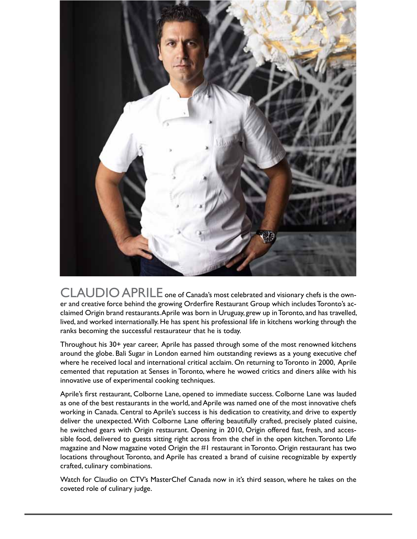

CLAUDIO APRILE one of Canada's most celebrated and visionary chefs is the owner and creative force behind the growing Orderfire Restaurant Group which includes Toronto's acclaimed Origin brand restaurants. Aprile was born in Uruguay, grew up in Toronto, and has travelled, lived, and worked internationally. He has spent his professional life in kitchens working through the ranks becoming the successful restaurateur that he is today.

Throughout his 30+ year career, Aprile has passed through some of the most renowned kitchens around the globe. Bali Sugar in London earned him outstanding reviews as a young executive chef where he received local and international critical acclaim. On returning to Toronto in 2000, Aprile cemented that reputation at Senses in Toronto, where he wowed critics and diners alike with his innovative use of experimental cooking techniques.

Aprile's first restaurant, Colborne Lane, opened to immediate success. Colborne Lane was lauded as one of the best restaurants in the world, and Aprile was named one of the most innovative chefs working in Canada. Central to Aprile's success is his dedication to creativity, and drive to expertly deliver the unexpected. With Colborne Lane offering beautifully crafted, precisely plated cuisine, he switched gears with Origin restaurant. Opening in 2010, Origin offered fast, fresh, and accessible food, delivered to guests sitting right across from the chef in the open kitchen. Toronto Life magazine and Now magazine voted Origin the #1 restaurant in Toronto. Origin restaurant has two locations throughout Toronto, and Aprile has created a brand of cuisine recognizable by expertly crafted, culinary combinations.

Watch for Claudio on CTV's MasterChef Canada now in it's third season, where he takes on the coveted role of culinary judge.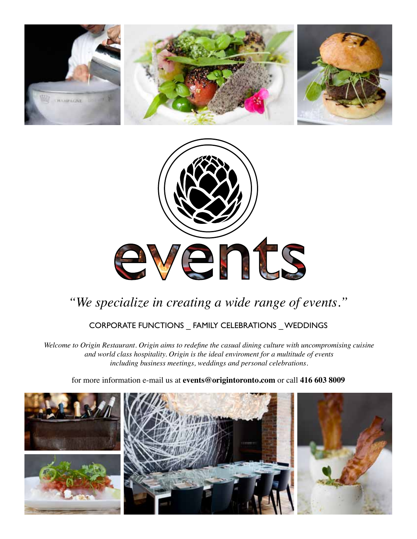



# *"We specialize in creating a wide range of events."*

## CORPORATE FUNCTIONS \_ FAMILY CELEBRATIONS \_ WEDDINGS

*Welcome to Origin Restaurant. Origin aims to redefine the casual dining culture with uncompromising cuisine and world class hospitality. Origin is the ideal enviroment for a multitude of events including business meetings, weddings and personal celebrations.*

for more information e-mail us at **events@origintoronto.com** or call **416 603 8009** 

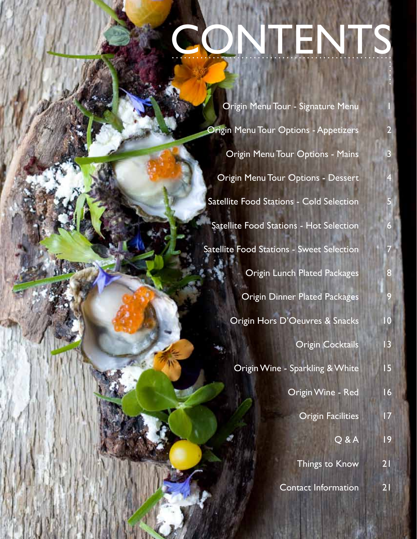# **CONTENTS**

|                                                 | Origin Menu Tour - Signature Menu            |                |  |
|-------------------------------------------------|----------------------------------------------|----------------|--|
|                                                 | <b>Origin Menu Tour Options - Appetizers</b> |                |  |
|                                                 | Origin Menu Tour Options - Mains             | 3              |  |
|                                                 | <b>Origin Menu Tour Options - Dessert</b>    |                |  |
| <b>Satellite Food Stations - Cold Selection</b> |                                              |                |  |
| Satellite Food Stations - Hot Selection         |                                              |                |  |
|                                                 | Satellite Food Stations - Sweet Selection    |                |  |
|                                                 | <b>Origin Lunch Plated Packages</b>          | 8              |  |
|                                                 | <b>Origin Dinner Plated Packages</b>         | 9              |  |
| Origin Hors D'Oeuvres & Snacks                  | $\overline{10}$                              |                |  |
|                                                 | <b>Origin Cocktails</b>                      | $\overline{1}$ |  |
|                                                 | Origin Wine - Sparkling & White              | 15             |  |
|                                                 | Origin Wine - Red                            | 16             |  |
|                                                 | <b>Origin Facilities</b>                     | 17             |  |
|                                                 | $Q$ & $A$                                    | 9              |  |
|                                                 | <b>Things to Know</b>                        | 21             |  |
|                                                 | <b>Contact Information</b>                   | 21             |  |

WWW.ORIGINTORONTO.COM \_ EVENTS@ORIGINTORONTO.COM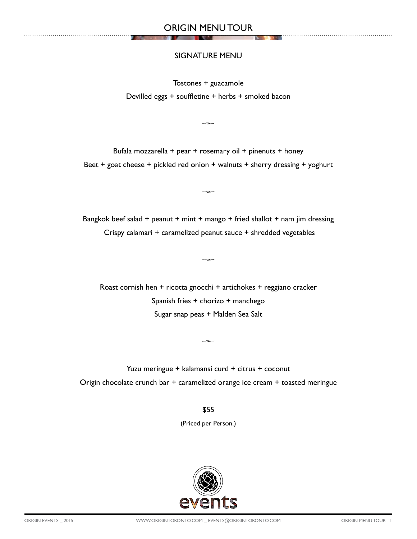## SIGNATURE MENU

Tostones + guacamole Devilled eggs + souffletine + herbs + smoked bacon

 $-x \rightarrow -$ 

Bufala mozzarella + pear + rosemary oil + pinenuts + honey Beet + goat cheese + pickled red onion + walnuts + sherry dressing + yoghurt

Bangkok beef salad + peanut + mint + mango + fried shallot + nam jim dressing Crispy calamari + caramelized peanut sauce + shredded vegetables

 $-m-$ 

 $\overline{\phantom{a}}$ 

Roast cornish hen + ricotta gnocchi + artichokes + reggiano cracker Spanish fries + chorizo + manchego Sugar snap peas + Malden Sea Salt

Yuzu meringue + kalamansi curd + citrus + coconut Origin chocolate crunch bar + caramelized orange ice cream + toasted meringue

 $-x \rightarrow -$ 

\$55

(Priced per Person.)

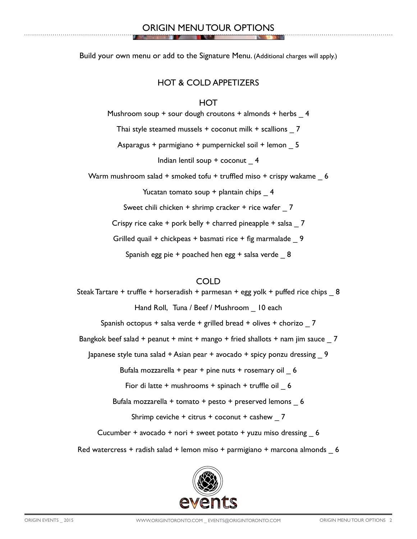Build your own menu or add to the Signature Menu. (Additional charges will apply.)

## HOT & COLD APPETIZERS

## **HOT**

Mushroom soup + sour dough croutons + almonds + herbs \_ 4 Thai style steamed mussels + coconut milk + scallions \_ 7 Asparagus + parmigiano + pumpernickel soil + lemon \_ 5 Indian lentil soup + coconut \_ 4 Warm mushroom salad + smoked tofu + truffled miso + crispy wakame 6 Yucatan tomato soup + plantain chips 4 Sweet chili chicken + shrimp cracker + rice wafer 7 Crispy rice cake + pork belly + charred pineapple + salsa \_ 7

Grilled quail + chickpeas + basmati rice + fig marmalade 9

Spanish egg pie + poached hen egg + salsa verde \_ 8

## COLD

Steak Tartare + truffle + horseradish + parmesan + egg yolk + puffed rice chips \_ 8 Hand Roll, Tuna / Beef / Mushroom \_ 10 each Spanish octopus + salsa verde + grilled bread + olives + chorizo \_ 7 Bangkok beef salad + peanut + mint + mango + fried shallots + nam jim sauce  $\overline{7}$ Japanese style tuna salad + Asian pear + avocado + spicy ponzu dressing \_ 9 Bufala mozzarella + pear + pine nuts + rosemary oil  $6$ Fior di latte + mushrooms + spinach + truffle oil 6 Bufala mozzarella + tomato + pesto + preserved lemons \_ 6 Shrimp ceviche + citrus + coconut + cashew  $7$ Cucumber + avocado + nori + sweet potato + yuzu miso dressing  $6$ Red watercress + radish salad + lemon miso + parmigiano + marcona almonds  $6$ 

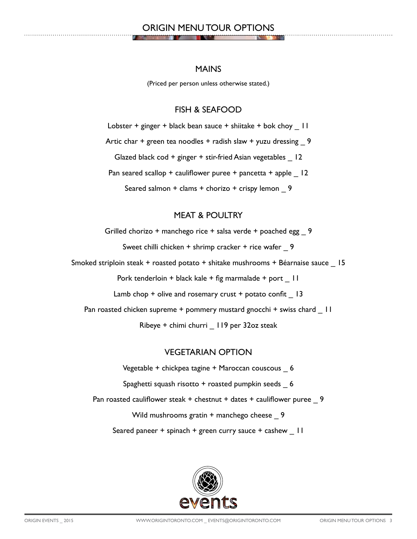## ORIGIN MENU TOUR OPTIONS

#### MAINS

(Priced per person unless otherwise stated.)

## FISH & SEAFOOD

Lobster + ginger + black bean sauce + shiitake + bok choy  $\overline{\phantom{a}}$  11

Artic char  $+$  green tea noodles  $+$  radish slaw  $+$  yuzu dressing 9

Glazed black cod + ginger + stir-fried Asian vegetables 12

Pan seared scallop + cauliflower puree + pancetta + apple  $\vert 12 \rangle$ 

Seared salmon + clams + chorizo + crispy lemon 9

## MEAT & POULTRY

Grilled chorizo + manchego rice + salsa verde + poached egg \_ 9

Sweet chilli chicken + shrimp cracker + rice wafer 9

Smoked striploin steak + roasted potato + shitake mushrooms + Béarnaise sauce \_ 15

Pork tenderloin + black kale + fig marmalade + port | 11

Lamb chop  $+$  olive and rosemary crust  $+$  potato confit  $-13$ 

Pan roasted chicken supreme + pommery mustard gnocchi + swiss chard \_ 11

Ribeye + chimi churri \_ 119 per 32oz steak

## VEGETARIAN OPTION

Vegetable + chickpea tagine + Maroccan couscous \_ 6 Spaghetti squash risotto + roasted pumpkin seeds \_ 6 Pan roasted cauliflower steak + chestnut + dates + cauliflower puree \_ 9 Wild mushrooms gratin + manchego cheese \_ 9 Seared paneer + spinach + green curry sauce + cashew | 1

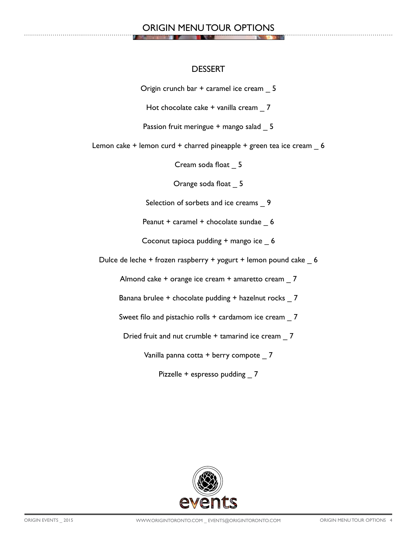## ORIGIN MENU TOUR OPTIONS

#### DESSERT

Origin crunch bar + caramel ice cream \_ 5

Hot chocolate cake + vanilla cream \_ 7

Passion fruit meringue + mango salad 5

Lemon cake + lemon curd + charred pineapple + green tea ice cream \_ 6

Cream soda float \_ 5

Orange soda float \_ 5

Selection of sorbets and ice creams 9

Peanut + caramel + chocolate sundae \_ 6

Coconut tapioca pudding + mango ice \_ 6

Dulce de leche + frozen raspberry + yogurt + lemon pound cake \_ 6

Almond cake + orange ice cream + amaretto cream \_ 7

Banana brulee + chocolate pudding + hazelnut rocks 7

Sweet filo and pistachio rolls + cardamom ice cream 7

Dried fruit and nut crumble + tamarind ice cream \_ 7

Vanilla panna cotta + berry compote \_ 7

Pizzelle + espresso pudding 7

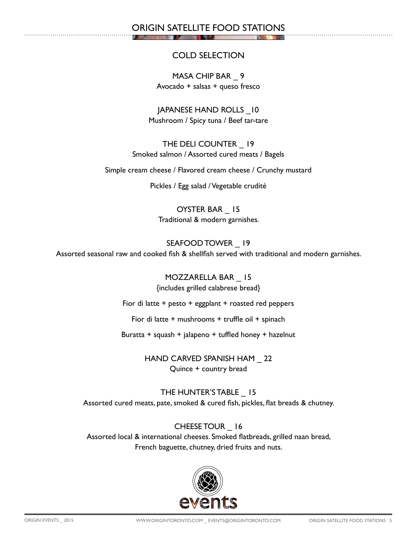ORIGIN SATELLITE FOOD STATIONS

## COLD SELECTION

MASA CHIP BAR \_ 9 Avocado + salsas + queso fresco

JAPANESE HAND ROLLS \_10 Mushroom / Spicy tuna / Beef tar-tare

THE DELI COUNTER \_ 19 Smoked salmon / Assorted cured meats / Bagels

Simple cream cheese / Flavored cream cheese / Crunchy mustard

Pickles / Egg salad / Vegetable crudité

OYSTER BAR \_ 15 Traditional & modern garnishes.

SEAFOOD TOWER \_ 19 Assorted seasonal raw and cooked fish & shellfish served with traditional and modern garnishes.

> MOZZARELLA BAR \_ 15 {includes grilled calabrese bread}

Fior di latte + pesto + eggplant + roasted red peppers

Fior di latte + mushrooms + truffle oil + spinach

Buratta + squash + jalapeno + tuffled honey + hazelnut

HAND CARVED SPANISH HAM \_ 22 Quince + country bread

THE HUNTER'S TABLE \_ 15 Assorted cured meats, pate, smoked & cured fish, pickles, flat breads & chutney.

CHEESE TOUR \_ 16 Assorted local & international cheeses. Smoked flatbreads, grilled naan bread, French baguette, chutney, dried fruits and nuts.

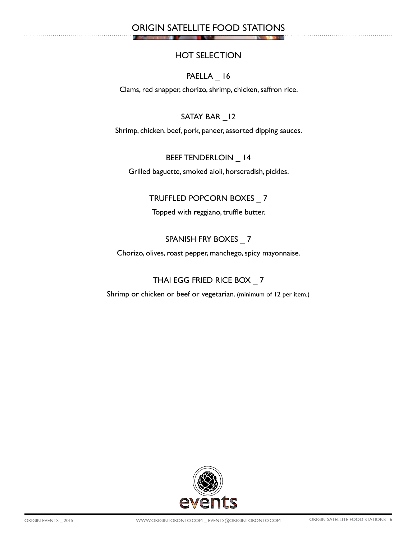## ORIGIN SATELLITE FOOD STATIONS

т

## HOT SELECTION

## PAELLA 16

Clams, red snapper, chorizo, shrimp, chicken, saffron rice.

## SATAY BAR 12

Shrimp, chicken. beef, pork, paneer, assorted dipping sauces.

## BEEF TENDERLOIN \_ 14

Grilled baguette, smoked aioli, horseradish, pickles.

## TRUFFLED POPCORN BOXES \_ 7

Topped with reggiano, truffle butter.

## SPANISH FRY BOXES 7

Chorizo, olives, roast pepper, manchego, spicy mayonnaise.

## THAI EGG FRIED RICE BOX \_ 7

Shrimp or chicken or beef or vegetarian. (minimum of 12 per item.)

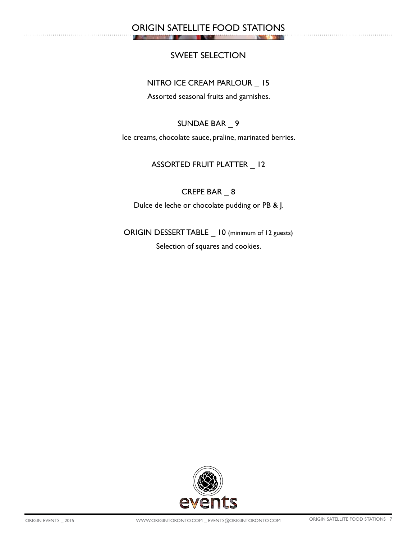## ORIGIN SATELLITE FOOD STATIONS

т

## SWEET SELECTION

#### NITRO ICE CREAM PARLOUR \_ 15

Assorted seasonal fruits and garnishes.

## SUNDAE BAR \_ 9

Ice creams, chocolate sauce, praline, marinated berries.

## ASSORTED FRUIT PLATTER \_ 12

CREPE BAR \_ 8

Dulce de leche or chocolate pudding or PB & J.

ORIGIN DESSERT TABLE \_ 10 (minimum of 12 guests)

Selection of squares and cookies.

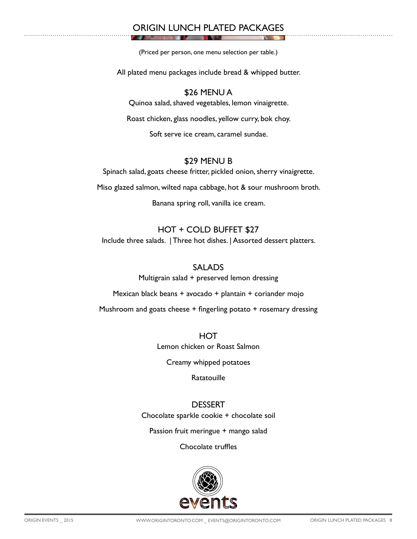## ORIGIN LUNCH PLATED PACKAGES

(Priced per person, one menu selection per table.)

All plated menu packages include bread & whipped butter.

## \$26 MENU A

Quinoa salad, shaved vegetables, lemon vinaigrette.

Roast chicken, glass noodles, yellow curry, bok choy.

Soft serve ice cream, caramel sundae.

#### \$29 MENU B

Spinach salad, goats cheese fritter, pickled onion, sherry vinaigrette.

Miso glazed salmon, wilted napa cabbage, hot & sour mushroom broth.

Banana spring roll, vanilla ice cream.

## HOT + COLD BUFFET \$27

Include three salads. | Three hot dishes. | Assorted dessert platters.

#### SALADS

Multigrain salad + preserved lemon dressing

Mexican black beans + avocado + plantain + coriander mojo

Mushroom and goats cheese + fingerling potato + rosemary dressing

**HOT** Lemon chicken or Roast Salmon

Creamy whipped potatoes

**Ratatouille** 

## **DESSERT**

Chocolate sparkle cookie + chocolate soil

Passion fruit meringue + mango salad

Chocolate truffles

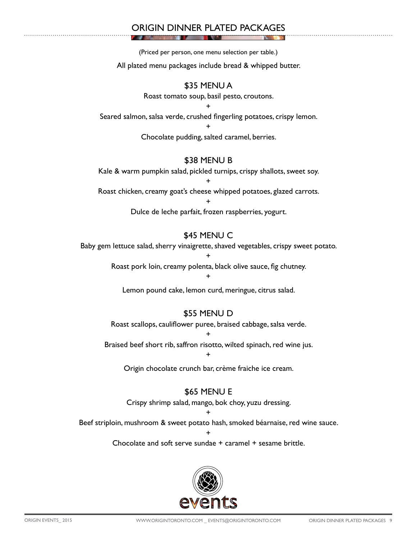## ORIGIN DINNER PLATED PACKAGES

(Priced per person, one menu selection per table.)

All plated menu packages include bread & whipped butter.

## \$35 MENU A

Roast tomato soup, basil pesto, croutons.

+ Seared salmon, salsa verde, crushed fingerling potatoes, crispy lemon.

+

Chocolate pudding, salted caramel, berries.

## \$38 MENU B

Kale & warm pumpkin salad, pickled turnips, crispy shallots, sweet soy.

+ Roast chicken, creamy goat's cheese whipped potatoes, glazed carrots.

> + Dulce de leche parfait, frozen raspberries, yogurt.

## \$45 MENU C

Baby gem lettuce salad, sherry vinaigrette, shaved vegetables, crispy sweet potato.

+

Roast pork loin, creamy polenta, black olive sauce, fig chutney.

+

Lemon pound cake, lemon curd, meringue, citrus salad.

## \$55 MENU D

Roast scallops, cauliflower puree, braised cabbage, salsa verde.

+ Braised beef short rib, saffron risotto, wilted spinach, red wine jus.

+

Origin chocolate crunch bar, crème fraiche ice cream.

## **\$65 MENU E**

Crispy shrimp salad, mango, bok choy, yuzu dressing.

+

Beef striploin, mushroom & sweet potato hash, smoked béarnaise, red wine sauce.

+ Chocolate and soft serve sundae + caramel + sesame brittle.

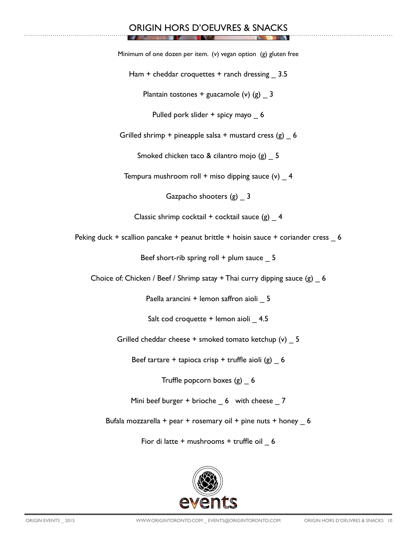## ORIGIN HORS D'OEUVRES & SNACKS

Minimum of one dozen per item. (v) vegan option (g) gluten free

Ham + cheddar croquettes + ranch dressing 3.5

Plantain tostones + guacamole  $(v)$   $(g)$  3

Pulled pork slider + spicy mayo \_ 6

Grilled shrimp + pineapple salsa + mustard cress  $(g)$  6

Smoked chicken taco & cilantro mojo (g) 5

Tempura mushroom roll + miso dipping sauce  $(v)$  4

Gazpacho shooters (g) 3

Classic shrimp cocktail + cocktail sauce  $(g)$  4

Peking duck + scallion pancake + peanut brittle + hoisin sauce + coriander cress 6

Beef short-rib spring roll  $+$  plum sauce  $-5$ 

Choice of: Chicken / Beef / Shrimp satay + Thai curry dipping sauce  $(g)$  6

Paella arancini + lemon saffron aioli 5

Salt cod croquette + lemon aioli 4.5

Grilled cheddar cheese + smoked tomato ketchup (v) 5

Beef tartare + tapioca crisp + truffle aioli  $(g)$  6

Truffle popcorn boxes (g) \_ 6

Mini beef burger + brioche  $6$  with cheese 7

Bufala mozzarella + pear + rosemary oil + pine nuts + honey  $6$ 

Fior di latte + mushrooms + truffle oil \_ 6

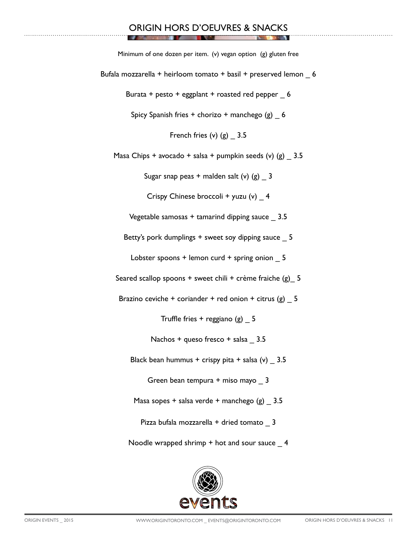#### ORIGIN HORS D'OEUVRES & SNACKS **TANK AT THE REAL**

**DESCRIPTION** 

**T** 

**ALL COLL** 

| Minimum of one dozen per item. (v) vegan option (g) gluten free   |
|-------------------------------------------------------------------|
| Bufala mozzarella + heirloom tomato + basil + preserved lemon _ 6 |
| Burata + pesto + eggplant + roasted red pepper 6                  |
| Spicy Spanish fries + chorizo + manchego $(g)$ 6                  |
| French fries $(v)$ $(g)$ 3.5                                      |
| Masa Chips + avocado + salsa + pumpkin seeds (v) (g) $=$ 3.5      |
| Sugar snap peas + malden salt (v) $(g)$ 3                         |
| Crispy Chinese broccoli + yuzu (v) $-$ 4                          |
| Vegetable samosas + tamarind dipping sauce _ 3.5                  |
| Betty's pork dumplings + sweet soy dipping sauce _ 5              |
| Lobster spoons + lemon curd + spring onion $\_ 5$                 |
| Seared scallop spoons + sweet chili + crème fraiche $(g)$ 5       |
| Brazino ceviche + coriander + red onion + citrus $(g)$ = 5        |
| Truffle fries + reggiano $(g)$ 5                                  |
| Nachos + queso fresco + salsa _ 3.5                               |
| Black bean hummus + crispy pita + salsa $(v)$ 3.5                 |
| Green bean tempura + miso mayo 3                                  |
| Masa sopes + salsa verde + manchego $(g)$ _ 3.5                   |
| Pizza bufala mozzarella + dried tomato 3                          |
| Noodle wrapped shrimp $+$ hot and sour sauce $\_$ 4               |

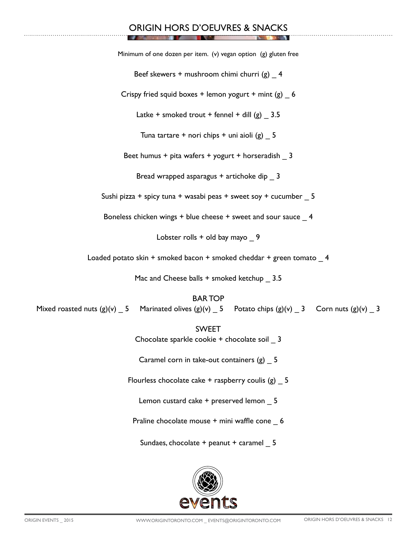## ORIGIN HORS D'OEUVRES & SNACKS

Minimum of one dozen per item. (v) vegan option (g) gluten free

Beef skewers + mushroom chimi churri  $(g)$  4

Crispy fried squid boxes + lemon yogurt + mint  $(g)$  6

Latke + smoked trout + fennel + dill  $(g)$  3.5

Tuna tartare + nori chips + uni aioli  $(g)$  5

Beet humus + pita wafers + yogurt + horseradish  $\overline{3}$ 

Bread wrapped asparagus + artichoke dip \_ 3

Sushi pizza + spicy tuna + wasabi peas + sweet soy + cucumber  $5$ 

Boneless chicken wings + blue cheese + sweet and sour sauce \_ 4

Lobster rolls  $+$  old bay mayo  $9$ 

Loaded potato skin + smoked bacon + smoked cheddar + green tomato  $4$ 

Mac and Cheese balls + smoked ketchup 3.5

BAR TOP

Mixed roasted nuts  $(g)(v)$  \_ 5 Marinated olives  $(g)(v)$  \_ 5 Potato chips  $(g)(v)$  \_ 3 Corn nuts  $(g)(v)$  \_ 3

SWEET

Chocolate sparkle cookie + chocolate soil \_ 3

Caramel corn in take-out containers (g) \_ 5

Flourless chocolate cake  $+$  raspberry coulis (g)  $5$ 

Lemon custard cake + preserved lemon 5

Praline chocolate mouse + mini waffle cone 6

Sundaes, chocolate + peanut + caramel 5

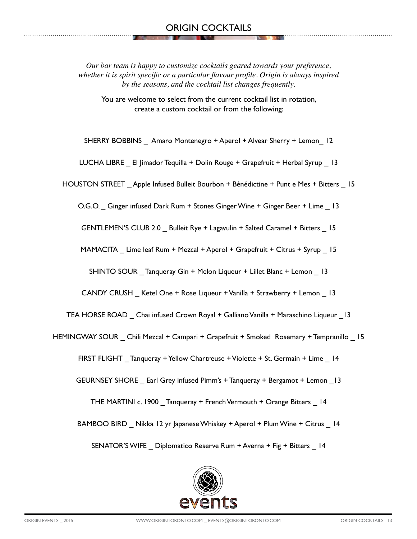*Our bar team is happy to customize cocktails geared towards your preference, whether it is spirit specific or a particular flavour profile. Origin is always inspired by the seasons, and the cocktail list changes frequently.* 

You are welcome to select from the current cocktail list in rotation, create a custom cocktail or from the following:

SHERRY BOBBINS \_ Amaro Montenegro + Aperol + Alvear Sherry + Lemon\_ 12

LUCHA LIBRE \_ El Jimador Tequilla + Dolin Rouge + Grapefruit + Herbal Syrup \_ 13

HOUSTON STREET \_ Apple Infused Bulleit Bourbon + Bénédictine + Punt e Mes + Bitters \_ 15

O.G.O. \_ Ginger infused Dark Rum + Stones Ginger Wine + Ginger Beer + Lime \_ 13

GENTLEMEN'S CLUB 2.0 Bulleit Rye + Lagavulin + Salted Caramel + Bitters 15

MAMACITA \_ Lime leaf Rum + Mezcal + Aperol + Grapefruit + Citrus + Syrup \_ 15

SHINTO SOUR \_ Tanqueray Gin + Melon Liqueur + Lillet Blanc + Lemon \_ 13

CANDY CRUSH \_ Ketel One + Rose Liqueur + Vanilla + Strawberry + Lemon \_ 13

TEA HORSE ROAD \_ Chai infused Crown Royal + Galliano Vanilla + Maraschino Liqueur \_13

HEMINGWAY SOUR \_ Chili Mezcal + Campari + Grapefruit + Smoked Rosemary + Tempranillo \_ 15

FIRST FLIGHT Tanqueray + Yellow Chartreuse + Violette + St. Germain + Lime 14

GEURNSEY SHORE \_ Earl Grey infused Pimm's + Tanqueray + Bergamot + Lemon \_13

THE MARTINI c. 1900 \_ Tanqueray + French Vermouth + Orange Bitters \_ 14

BAMBOO BIRD \_ Nikka 12 yr Japanese Whiskey + Aperol + Plum Wine + Citrus \_ 14

SENATOR'S WIFE \_ Diplomatico Reserve Rum + Averna + Fig + Bitters \_ 14

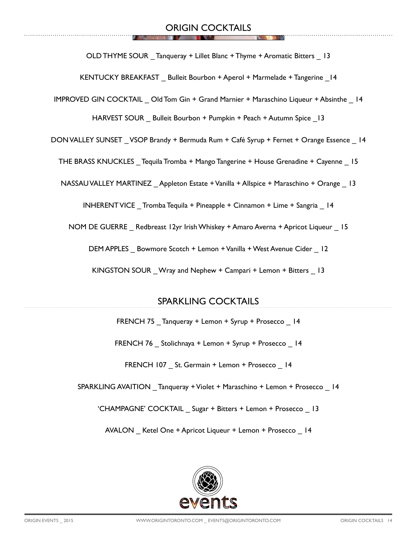OLD THYME SOUR Tanqueray + Lillet Blanc + Thyme + Aromatic Bitters 13

KENTUCKY BREAKFAST Bulleit Bourbon + Aperol + Marmelade + Tangerine 14

IMPROVED GIN COCKTAIL \_ Old Tom Gin + Grand Marnier + Maraschino Liqueur + Absinthe \_ 14

HARVEST SOUR Bulleit Bourbon + Pumpkin + Peach + Autumn Spice 13

DON VALLEY SUNSET VSOP Brandy + Bermuda Rum + Café Syrup + Fernet + Orange Essence 14

THE BRASS KNUCKLES \_ Tequila Tromba + Mango Tangerine + House Grenadine + Cayenne \_ 15

NASSAU VALLEY MARTINEZ Appleton Estate + Vanilla + Allspice + Maraschino + Orange 13

INHERENT VICE \_ Tromba Tequila + Pineapple + Cinnamon + Lime + Sangria \_ 14

NOM DE GUERRE \_ Redbreast 12yr Irish Whiskey + Amaro Averna + Apricot Liqueur \_ 15

DEM APPLES Bowmore Scotch + Lemon + Vanilla + West Avenue Cider 12

KINGSTON SOUR Wray and Nephew + Campari + Lemon + Bitters 13

## SPARKLING COCKTAILS

FRENCH 75 Tanqueray + Lemon + Syrup + Prosecco 14

FRENCH 76 Stolichnaya + Lemon + Syrup + Prosecco 14

FRENCH 107 St. Germain + Lemon + Prosecco 14

SPARKLING AVAITION Tanqueray + Violet + Maraschino + Lemon + Prosecco 14

'CHAMPAGNE' COCKTAIL \_ Sugar + Bitters + Lemon + Prosecco \_ 13

AVALON Ketel One + Apricot Liqueur + Lemon + Prosecco 14

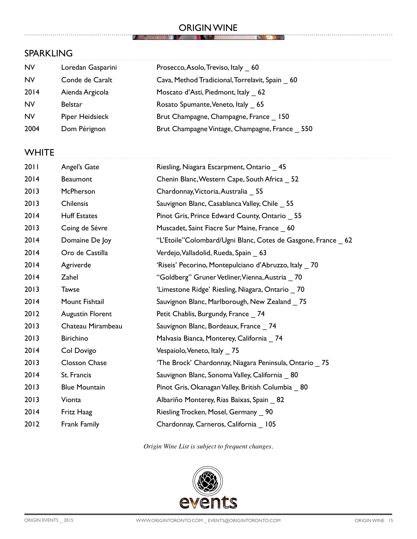#### ORIGIN WINE **THE REAL PROPERTY**

**Service** 

**STATE** 

## SPARKLING

| <b>NV</b> | Loredan Gasparini | Prosecco, Asolo, Treviso, Italy 60             |
|-----------|-------------------|------------------------------------------------|
| <b>NV</b> | Conde de Caralt   | Cava, Method Tradicional, Torrelavit, Spain 60 |
| 2014      | Aienda Argicola   | Moscato d'Asti, Piedmont, Italy 62             |
| <b>NV</b> | <b>Belstar</b>    | Rosato Spumante, Veneto, Italy 65              |
| <b>NV</b> | Piper Heidsieck   | Brut Champagne, Champagne, France 150          |
| 2004      | Dom Pérignon      | Brut Champagne Vintage, Champagne, France 550  |

 $\mathcal{L}$ **SOLUTION** 

## **WHITE**

| 2011 | Angel's Gate         | Riesling, Niagara Escarpment, Ontario 45                    |
|------|----------------------|-------------------------------------------------------------|
| 2014 | <b>Beaumont</b>      | Chenin Blanc, Western Cape, South Africa _ 52               |
| 2013 | McPherson            | Chardonnay, Victoria, Australia 55                          |
| 2013 | Chilensis            | Sauvignon Blanc, Casablanca Valley, Chile 55                |
| 2014 | <b>Huff Estates</b>  | Pinot Gris, Prince Edward County, Ontario 55                |
| 2013 | Coing de Sévre       | Muscadet, Saint Fiacre Sur Maine, France 60                 |
| 2014 | Domaine De Joy       | "L'Etoile"Colombard/Ugni Blanc, Cotes de Gasgone, France 62 |
| 2014 | Oro de Castilla      | Verdejo, Valladolid, Rueda, Spain 63                        |
| 2014 | Agriverde            | 'Riseis' Pecorino, Montepulciano d'Abruzzo, Italy 70        |
| 2014 | Zahel                | "Goldberg" Gruner Vetliner, Vienna, Austria _70             |
| 2013 | <b>Tawse</b>         | 'Limestone Ridge' Riesling, Niagara, Ontario 70             |
| 2014 | Mount Fishtail       | Sauvignon Blanc, Marlborough, New Zealand 75                |
| 2012 | Augustin Florent     | Petit Chablis, Burgundy, France 74                          |
| 2013 | Chateau Mirambeau    | Sauvignon Blanc, Bordeaux, France 74                        |
| 2013 | <b>Birichino</b>     | Malvasia Bianca, Monterey, California 74                    |
| 2014 | Col Dovigo           | Vespaiolo, Veneto, Italy 75                                 |
| 2013 | Closson Chase        | 'The Brock' Chardonnay, Niagara Peninsula, Ontario 75       |
| 2014 | St. Francis          | Sauvignon Blanc, Sonoma Valley, California _ 80             |
| 2013 | <b>Blue Mountain</b> | Pinot Gris, Okanagan Valley, British Columbia 80            |
| 2013 | Vionta               | Albariño Monterey, Rias Baixas, Spain _ 82                  |
| 2014 | Fritz Haag           | Riesling Trocken, Mosel, Germany _ 90                       |
| 2012 | Frank Family         | Chardonnay, Carneros, California _ 105                      |

*Origin Wine List is subject to frequent changes.*

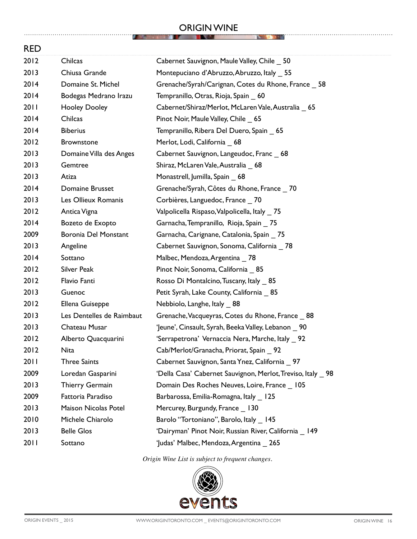#### ORIGIN WINE **THE REAL PROPERTY**

**AND CONTRACT OF STREET** 

. . . . . . . . . . . . . . . . . .

**NO DO NO** 

| <b>RED</b> |                             |                                                            |
|------------|-----------------------------|------------------------------------------------------------|
| 2012       | Chilcas                     | Cabernet Sauvignon, Maule Valley, Chile _ 50               |
| 2013       | Chiusa Grande               | Montepuciano d'Abruzzo, Abruzzo, Italy _ 55                |
| 2014       | Domaine St. Michel          | Grenache/Syrah/Carignan, Cotes du Rhone, France _ 58       |
| 2014       | Bodegas Medrano Irazu       | Tempranillo, Otras, Rioja, Spain _ 60                      |
| 2011       | <b>Hooley Dooley</b>        | Cabernet/Shiraz/Merlot, McLaren Vale, Australia _ 65       |
| 2014       | Chilcas                     | Pinot Noir, Maule Valley, Chile _ 65                       |
| 2014       | <b>Biberius</b>             | Tempranillo, Ribera Del Duero, Spain _ 65                  |
| 2012       | <b>Brownstone</b>           | Merlot, Lodi, California _ 68                              |
| 2013       | Domaine Villa des Anges     | Cabernet Sauvignon, Langeudoc, Franc _ 68                  |
| 2013       | Gemtree                     | Shiraz, McLaren Vale, Australia 68                         |
| 2013       | Atiza                       | Monastrell, Jumilla, Spain _ 68                            |
| 2014       | Domaine Brusset             | Grenache/Syrah, Côtes du Rhone, France _70                 |
| 2013       | Les Ollieux Romanis         | Corbières, Languedoc, France _70                           |
| 2012       | Antica Vigna                | Valpolicella Rispaso, Valpolicella, Italy _75              |
| 2014       | Bozeto de Exopto            | Garnacha, Tempranillo, Rioja, Spain _75                    |
| 2009       | <b>Boronia Del Monstant</b> | Garnacha, Carignane, Catalonia, Spain _75                  |
| 2013       | Angeline                    | Cabernet Sauvignon, Sonoma, California _78                 |
| 2014       | Sottano                     | Malbec, Mendoza, Argentina _78                             |
| 2012       | <b>Silver Peak</b>          | Pinot Noir, Sonoma, California 85                          |
| 2012       | Flavio Fanti                | Rosso Di Montalcino, Tuscany, Italy _85                    |
| 2013       | Guenoc                      | Petit Syrah, Lake County, California _ 85                  |
| 2012       | Ellena Guiseppe             | Nebbiolo, Langhe, Italy _ 88                               |
| 2013       | Les Dentelles de Raimbaut   | Grenache, Vacqueyras, Cotes du Rhone, France _ 88          |
| 2013       | Chateau Musar               | 'Jeune', Cinsault, Syrah, Beeka Valley, Lebanon 90         |
| 2012       | Alberto Quacquarini         | 'Serrapetrona' Vernaccia Nera, Marche, Italy 92            |
| 2012       | <b>Nita</b>                 | Cab/Merlot/Granacha, Priorat, Spain _ 92                   |
| 2011       | <b>Three Saints</b>         | Cabernet Sauvignon, Santa Ynez, California 97              |
| 2009       | Loredan Gasparini           | 'Della Casa' Cabernet Sauvignon, Merlot, Treviso, Italy 98 |
| 2013       | Thierry Germain             | Domain Des Roches Neuves, Loire, France _ 105              |
| 2009       | Fattoria Paradiso           | Barbarossa, Emilia-Romagna, Italy _ 125                    |
| 2013       | Maison Nicolas Potel        | Mercurey, Burgundy, France 130                             |
| 2010       | Michele Chiarolo            | Barolo "Tortoniano", Barolo, Italy 145                     |
| 2013       | <b>Belle Glos</b>           | 'Dairyman' Pinot Noir, Russian River, California 149       |
| 2011       | Sottano                     | 'Judas' Malbec, Mendoza, Argentina _ 265                   |

*Origin Wine List is subject to frequent changes.*



. . . . . . . . . . . . . . . . .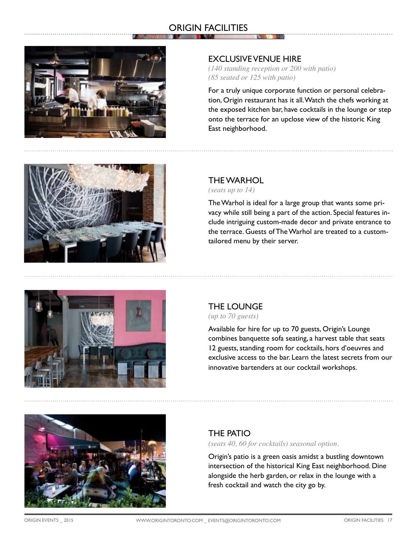## ORIGIN FACILITIES



#### EXCLUSIVE VENUE HIRE

*(140 standing reception or 200 with patio) (85 seated or 125 with patio)*

For a truly unique corporate function or personal celebration, Origin restaurant has it all. Watch the chefs working at the exposed kitchen bar, have cocktails in the lounge or step onto the terrace for an upclose view of the historic King East neighborhood.



## THE WARHOL

*(seats up to 14)*

The Warhol is ideal for a large group that wants some privacy while still being a part of the action. Special features include intriguing custom-made decor and private entrance to the terrace. Guests of The Warhol are treated to a customtailored menu by their server.



# THE LOUNGE

*(up to 70 guests)*

Available for hire for up to 70 guests, Origin's Lounge combines banquette sofa seating, a harvest table that seats 12 guests, standing room for cocktails, hors d'oeuvres and exclusive access to the bar. Learn the latest secrets from our innovative bartenders at our cocktail workshops.



## THE PATIO

*(seats 40, 60 for cocktails) seasonal option.*

Origin's patio is a green oasis amidst a bustling downtown intersection of the historical King East neighborhood. Dine alongside the herb garden, or relax in the lounge with a fresh cocktail and watch the city go by.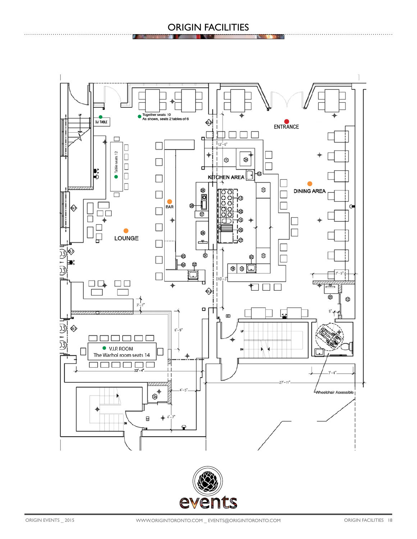## ORIGIN FACILITIES



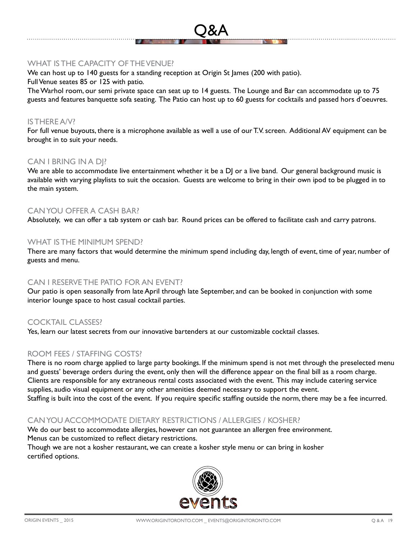#### WHAT IS THE CAPACITY OF THE VENUE?

We can host up to 140 guests for a standing reception at Origin St James (200 with patio).

Full Venue seates 85 or 125 with patio.

The Warhol room, our semi private space can seat up to 14 guests. The Lounge and Bar can accommodate up to 75 guests and features banquette sofa seating. The Patio can host up to 60 guests for cocktails and passed hors d'oeuvres.

Q&A

#### IS THERE A/V?

For full venue buyouts, there is a microphone available as well a use of our T.V. screen. Additional AV equipment can be brought in to suit your needs.

#### CAN I BRING IN A DJ?

We are able to accommodate live entertainment whether it be a DJ or a live band. Our general background music is available with varying playlists to suit the occasion. Guests are welcome to bring in their own ipod to be plugged in to the main system.

#### CAN YOU OFFER A CASH BAR?

Absolutely, we can offer a tab system or cash bar. Round prices can be offered to facilitate cash and carry patrons.

#### WHAT IS THE MINIMUM SPEND?

There are many factors that would determine the minimum spend including day, length of event, time of year, number of guests and menu.

#### CAN I RESERVE THE PATIO FOR AN EVENT?

Our patio is open seasonally from late April through late September, and can be booked in conjunction with some interior lounge space to host casual cocktail parties.

## COCKTAIL CLASSES?

Yes, learn our latest secrets from our innovative bartenders at our customizable cocktail classes.

## ROOM FEES / STAFFING COSTS?

There is no room charge applied to large party bookings. If the minimum spend is not met through the preselected menu and guests' beverage orders during the event, only then will the difference appear on the final bill as a room charge. Clients are responsible for any extraneous rental costs associated with the event. This may include catering service supplies, audio visual equipment or any other amenities deemed necessary to support the event. Staffing is built into the cost of the event. If you require specific staffing outside the norm, there may be a fee incurred.

## CAN YOU ACCOMMODATE DIETARY RESTRICTIONS / ALLERGIES / KOSHER?

We do our best to accommodate allergies, however can not guarantee an allergen free environment. Menus can be customized to reflect dietary restrictions. Though we are not a kosher restaurant, we can create a kosher style menu or can bring in kosher

certified options.

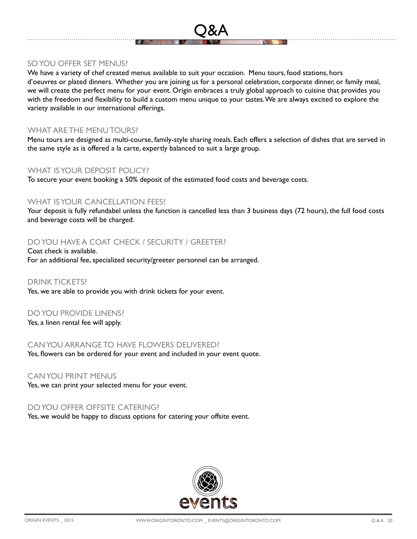#### SO YOU OFFER SET MENUS?

We have a variety of chef created menus available to suit your occasion. Menu tours, food stations, hors d'oeuvres or plated dinners. Whether you are joining us for a personal celebration, corporate dinner, or family meal, we will create the perfect menu for your event. Origin embraces a truly global approach to cuisine that provides you with the freedom and flexibility to build a custom menu unique to your tastes. We are always excited to explore the variety available in our international offerings.

Q&A

#### WHAT ARE THE MENU TOURS?

Menu tours are designed as multi-course, family-style sharing meals. Each offers a selection of dishes that are served in the same style as is offered a la carte, expertly balanced to suit a large group.

#### WHAT IS YOUR DEPOSIT POLICY?

To secure your event booking a 50% deposit of the estimated food costs and beverage costs.

#### WHAT IS YOUR CANCELLATION FEES?

Your deposit is fully refundabel unless the function is cancelled less than 3 business days (72 hours), the full food costs and beverage costs will be charged.

#### DO YOU HAVE A COAT CHECK / SECURITY / GREETER?

Coat check is available. For an additional fee, specialized security/greeter personnel can be arranged.

#### DRINK TICKETS?

Yes, we are able to provide you with drink tickets for your event.

#### DO YOU PROVIDE LINENS?

Yes, a linen rental fee will apply.

#### CAN YOU ARRANGE TO HAVE FLOWERS DELIVERED?

Yes, flowers can be ordered for your event and included in your event quote.

#### CAN YOU PRINT MENUS

Yes, we can print your selected menu for your event.

#### DO YOU OFFER OFFSITE CATERING?

Yes, we would be happy to discuss options for catering your offsite event.